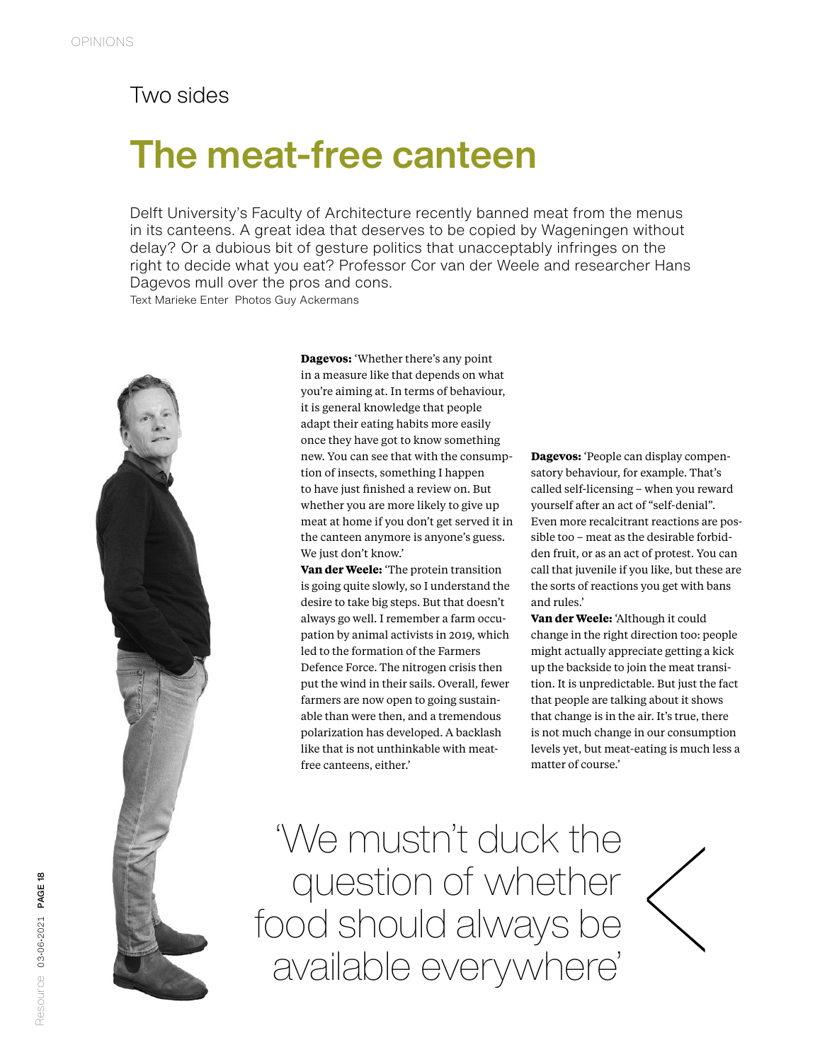## Two sides

## The meat-free canteen

Delft University's Faculty of Architecture recently banned meat from the menus in its canteens. A great idea that deserves to be copied by Wageningen without delay? Or a dubious bit of gesture politics that unacceptably infringes on the right to decide what you eat? Professor Cor van der Weele and researcher Hans Dagevos mull over the pros and cons.

Text Marieke Enter Photos Guy Ackermans



**Dagevos:** 'Whether there's any point in a measure like that depends on what you're aiming at. In terms of behaviour, it is general knowledge that people adapt their eating habits more easily once they have got to know something new. You can see that with the consumption of insects, something I happen to have just finished a review on. But whether you are more likely to give up meat at home if you don't get served it in the canteen anymore is anyone's guess. We just don't know.'

**Van der Weele:** 'The protein transition is going quite slowly, so I understand the desire to take big steps. But that doesn't always go well. I remember a farm occupation by animal activists in 2019, which led to the formation of the Farmers Defence Force. The nitrogen crisis then put the wind in their sails. Overall, fewer farmers are now open to going sustainable than were then, and a tremendous polarization has developed. A backlash like that is not unthinkable with meatfree canteens, either.'

**Dagevos:** 'People can display compensatory behaviour, for example. That's called self-licensing – when you reward yourself after an act of "self-denial". Even more recalcitrant reactions are possible too – meat as the desirable forbidden fruit, or as an act of protest. You can call that juvenile if you like, but these are the sorts of reactions you get with bans and rules.'

**Van der Weele:** 'Although it could change in the right direction too: people might actually appreciate getting a kick up the backside to join the meat transition. It is unpredictable. But just the fact that people are talking about it shows that change is in the air. It's true, there is not much change in our consumption levels yet, but meat-eating is much less a matter of course.'

'We mustn't duck the question of whether food should always be available everywhere'